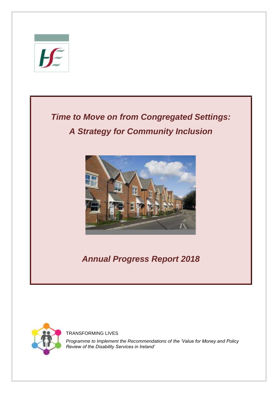

# *Time to Move on from Congregated Settings: A Strategy for Community Inclusion*



*Annual Progress Report 2018*



TRANSFORMING LIVES

*Programme to Implement the Recommendations of the 'Value for Money and Policy Review of the Disability Services in Ireland'*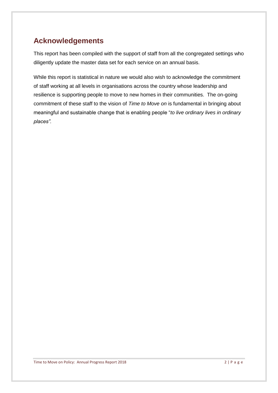## **Acknowledgements**

This report has been compiled with the support of staff from all the congregated settings who diligently update the master data set for each service on an annual basis.

While this report is statistical in nature we would also wish to acknowledge the commitment of staff working at all levels in organisations across the country whose leadership and resilience is supporting people to move to new homes in their communities. The on-going commitment of these staff to the vision of *Time to Move on* is fundamental in bringing about meaningful and sustainable change that is enabling people "*to live ordinary lives in ordinary places".*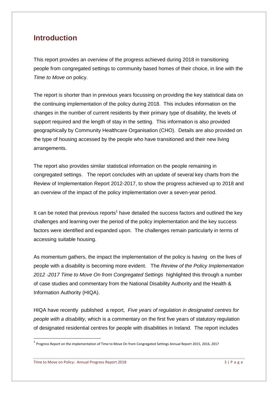### **Introduction**

This report provides an overview of the progress achieved during 2018 in transitioning people from congregated settings to community based homes of their choice, in line with the *Time to Move on* policy.

The report is shorter than in previous years focussing on providing the key statistical data on the continuing implementation of the policy during 2018. This includes information on the changes in the number of current residents by their primary type of disability, the levels of support required and the length of stay in the setting. This information is also provided geographically by Community Healthcare Organisation (CHO). Details are also provided on the type of housing accessed by the people who have transitioned and their new living arrangements.

The report also provides similar statistical information on the people remaining in congregated settings. The report concludes with an update of several key charts from the Review of Implementation Report 2012-2017, to show the progress achieved up to 2018 and an overview of the impact of the policy implementation over a seven-year period.

It can be noted that previous reports<sup>1</sup> have detailed the success factors and outlined the key challenges and learning over the period of the policy implementation and the key success factors were identified and expanded upon. The challenges remain particularly in terms of accessing suitable housing.

As momentum gathers, the impact the implementation of the policy is having on the lives of people with a disability is becoming more evident. The *Review of the Policy Implementation 2012 -2017 Time to Move On from Congregated Settings* highlighted this through a number of case studies and commentary from the National Disability Authority and the Health & Information Authority (HIQA).

HIQA have recently published a report, *Five years of regulation in designated centres for people with a disability,* which is a commentary on the first five years of statutory regulation of designated residential centres for people with disabilities in Ireland. The report includes

Time to Move on Policy: Annual Progress Report 2018 3 | P a g e

<sup>&</sup>lt;sup>1</sup> Progress Report on the implementation of Time to Move On from Congregated Settings Annual Report 2015, 2016, 2017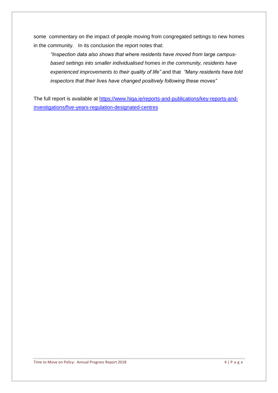some commentary on the impact of people moving from congregated settings to new homes in the community. In its conclusion the report notes that:

*"Inspection data also shows that where residents have moved from large campusbased settings into smaller individualised homes in the community, residents have experienced improvements to their quality of life"* and that *"Many residents have told inspectors that their lives have changed positively following these moves"*

The full report is available at [https://www.hiqa.ie/reports-and-publications/key-reports-and](https://www.hiqa.ie/reports-and-publications/key-reports-and-investigations/five-years-regulation-designated-centres)[investigations/five-years-regulation-designated-centres](https://www.hiqa.ie/reports-and-publications/key-reports-and-investigations/five-years-regulation-designated-centres)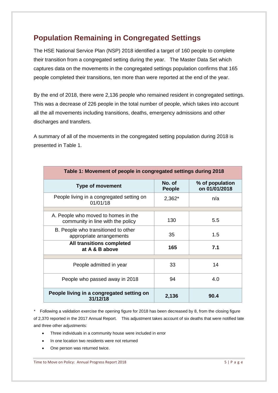## **Population Remaining in Congregated Settings**

The HSE National Service Plan (NSP) 2018 identified a target of 160 people to complete their transition from a congregated setting during the year. The Master Data Set which captures data on the movements in the congregated settings population confirms that 165 people completed their transitions, ten more than were reported at the end of the year.

By the end of 2018, there were 2,136 people who remained resident in congregated settings. This was a decrease of 226 people in the total number of people, which takes into account all the all movements including transitions, deaths, emergency admissions and other discharges and transfers.

A summary of all of the movements in the congregated setting population during 2018 is presented in Table 1.

| Table 1: Movement of people in congregated settings during 2018          |                         |                                  |  |
|--------------------------------------------------------------------------|-------------------------|----------------------------------|--|
| <b>Type of movement</b>                                                  | No. of<br><b>People</b> | % of population<br>on 01/01/2018 |  |
| People living in a congregated setting on<br>01/01/18                    | 2,362*                  | n/a                              |  |
|                                                                          |                         |                                  |  |
| A. People who moved to homes in the<br>community in line with the policy | 130                     | 5.5                              |  |
| B. People who transitioned to other<br>appropriate arrangements          | 35                      | 1.5                              |  |
| All transitions completed<br>at A & B above                              | 165                     | 7.1                              |  |
|                                                                          |                         |                                  |  |
| People admitted in year                                                  | 33                      | 14                               |  |
| People who passed away in 2018                                           | 94                      | 4.0                              |  |
| People living in a congregated setting on<br>31/12/18                    | 2,136                   | 90.4                             |  |

*\** Following a validation exercise the opening figure for 2018 has been decreased by 8, from the closing figure of 2,370 reported in the 2017 Annual Report. This adjustment takes account of six deaths that were notified late and three other adjustments:

- Three individuals in a community house were included in error
- In one location two residents were not returned
- One person was returned twice.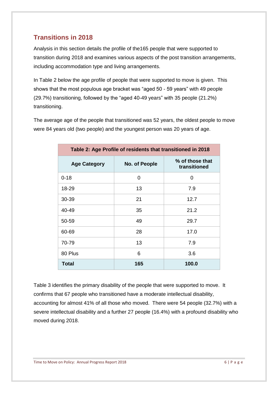### **Transitions in 2018**

Analysis in this section details the profile of the165 people that were supported to transition during 2018 and examines various aspects of the post transition arrangements, including accommodation type and living arrangements.

In Table 2 below the age profile of people that were supported to move is given. This shows that the most populous age bracket was "aged 50 - 59 years" with 49 people (29.7%) transitioning, followed by the "aged 40-49 years" with 35 people (21.2%) transitioning.

The average age of the people that transitioned was 52 years, the oldest people to move were 84 years old (two people) and the youngest person was 20 years of age.

| Table 2: Age Profile of residents that transitioned in 2018 |               |                                 |  |  |
|-------------------------------------------------------------|---------------|---------------------------------|--|--|
| <b>Age Category</b>                                         | No. of People | % of those that<br>transitioned |  |  |
| $0 - 18$                                                    | $\Omega$      | 0                               |  |  |
| 18-29                                                       | 13            | 7.9                             |  |  |
| 30-39                                                       | 21            | 12.7                            |  |  |
| 40-49                                                       | 35            | 21.2                            |  |  |
| 50-59                                                       | 49            | 29.7                            |  |  |
| 60-69                                                       | 28            | 17.0                            |  |  |
| 70-79                                                       | 13            | 7.9                             |  |  |
| 80 Plus                                                     | 6             | 3.6                             |  |  |
| <b>Total</b>                                                | 165           | 100.0                           |  |  |

Table 3 identifies the primary disability of the people that were supported to move. It confirms that 67 people who transitioned have a moderate intellectual disability, accounting for almost 41% of all those who moved. There were 54 people (32.7%) with a severe intellectual disability and a further 27 people (16.4%) with a profound disability who moved during 2018.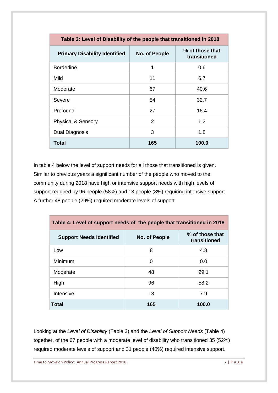| Table 3: Level of Disability of the people that transitioned in 2018 |               |       |  |  |  |
|----------------------------------------------------------------------|---------------|-------|--|--|--|
| <b>Primary Disability Identified</b>                                 | No. of People |       |  |  |  |
| <b>Borderline</b>                                                    | 1             | 0.6   |  |  |  |
| Mild                                                                 | 11            | 6.7   |  |  |  |
| Moderate                                                             | 67            | 40.6  |  |  |  |
| Severe                                                               | 54            | 32.7  |  |  |  |
| Profound                                                             | 27            | 16.4  |  |  |  |
| <b>Physical &amp; Sensory</b>                                        | $\mathcal{P}$ | 1.2   |  |  |  |
| Dual Diagnosis                                                       | 3             | 1.8   |  |  |  |
| <b>Total</b>                                                         | 165           | 100.0 |  |  |  |

In table 4 below the level of support needs for all those that transitioned is given. Similar to previous years a significant number of the people who moved to the community during 2018 have high or intensive support needs with high levels of support required by 96 people (58%) and 13 people (8%) requiring intensive support. A further 48 people (29%) required moderate levels of support.

| Table 4: Level of support needs of the people that transitioned in 2018             |     |       |  |  |  |  |
|-------------------------------------------------------------------------------------|-----|-------|--|--|--|--|
| % of those that<br><b>Support Needs Identified</b><br>No. of People<br>transitioned |     |       |  |  |  |  |
| Low                                                                                 | 8   | 4.8   |  |  |  |  |
| Minimum                                                                             | 0   | 0.0   |  |  |  |  |
| Moderate                                                                            | 48  | 29.1  |  |  |  |  |
| High                                                                                | 96  | 58.2  |  |  |  |  |
| Intensive                                                                           | 13  | 7.9   |  |  |  |  |
| Total                                                                               | 165 | 100.0 |  |  |  |  |

Looking at the *Level of Disability* (Table 3) and the *Level of Support Needs* (Table 4) together, of the 67 people with a moderate level of disability who transitioned 35 (52%) required moderate levels of support and 31 people (40%) required intensive support.

Time to Move on Policy: Annual Progress Report 2018 7 | P a g e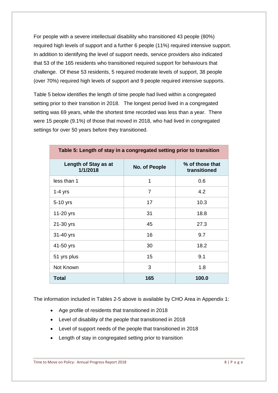For people with a severe intellectual disability who transitioned 43 people (80%) required high levels of support and a further 6 people (11%) required intensive support. In addition to identifying the level of support needs, service providers also indicated that 53 of the 165 residents who transitioned required support for behaviours that challenge. Of these 53 residents, 5 required moderate levels of support, 38 people (over 70%) required high levels of support and 9 people required intensive supports.

Table 5 below identifies the length of time people had lived within a congregated setting prior to their transition in 2018. The longest period lived in a congregated setting was 69 years, while the shortest time recorded was less than a year. There were 15 people (9.1%) of those that moved in 2018, who had lived in congregated settings for over 50 years before they transitioned.

| Length of Stay as at<br>1/1/2018 | No. of People  | % of those that<br>transitioned |  |  |  |
|----------------------------------|----------------|---------------------------------|--|--|--|
| less than 1                      | 1              | 0.6                             |  |  |  |
| $1-4$ yrs                        | $\overline{7}$ | 4.2                             |  |  |  |
| 5-10 yrs                         | 17             | 10.3                            |  |  |  |
| 11-20 yrs                        | 31             | 18.8                            |  |  |  |
| 21-30 yrs                        | 45             | 27.3                            |  |  |  |
| 31-40 yrs                        | 16             | 9.7                             |  |  |  |
| 41-50 yrs                        | 30             | 18.2                            |  |  |  |
| 51 yrs plus                      | 15             | 9.1                             |  |  |  |
| Not Known                        | 3              | 1.8                             |  |  |  |
| <b>Total</b>                     | 165            | 100.0                           |  |  |  |

**Table 5: Length of stay in a congregated setting prior to transition**

The information included in Tables 2-5 above is available by CHO Area in Appendix 1:

- Age profile of residents that transitioned in 2018
- Level of disability of the people that transitioned in 2018
- Level of support needs of the people that transitioned in 2018
- Length of stay in congregated setting prior to transition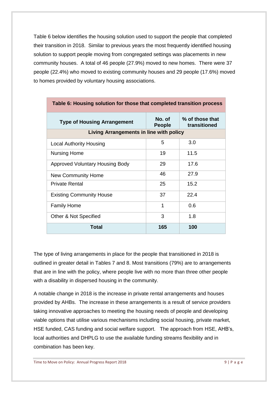Table 6 below identifies the housing solution used to support the people that completed their transition in 2018. Similar to previous years the most frequently identified housing solution to support people moving from congregated settings was placements in new community houses. A total of 46 people (27.9%) moved to new homes. There were 37 people (22.4%) who moved to existing community houses and 29 people (17.6%) moved to homes provided by voluntary housing associations.

| Table 6: Housing solution for those that completed transition process |                         |                                 |  |  |  |
|-----------------------------------------------------------------------|-------------------------|---------------------------------|--|--|--|
| <b>Type of Housing Arrangement</b>                                    | No. of<br><b>People</b> | % of those that<br>transitioned |  |  |  |
| Living Arrangements in line with policy                               |                         |                                 |  |  |  |
| <b>Local Authority Housing</b>                                        | 5                       | 3.0                             |  |  |  |
| <b>Nursing Home</b>                                                   | 19                      | 11.5                            |  |  |  |
| <b>Approved Voluntary Housing Body</b>                                | 29                      | 17.6                            |  |  |  |
| <b>New Community Home</b>                                             | 46                      | 27.9                            |  |  |  |
| <b>Private Rental</b>                                                 | 25                      | 15.2                            |  |  |  |
| <b>Existing Community House</b>                                       | 37                      | 22.4                            |  |  |  |
| <b>Family Home</b>                                                    | 1                       | 0.6                             |  |  |  |
| 3<br>1.8<br>Other & Not Specified                                     |                         |                                 |  |  |  |
| Total                                                                 | 165                     | 100                             |  |  |  |

The type of living arrangements in place for the people that transitioned in 2018 is outlined in greater detail in Tables 7 and 8. Most transitions (79%) are to arrangements that are in line with the policy, where people live with no more than three other people with a disability in dispersed housing in the community.

A notable change in 2018 is the increase in private rental arrangements and houses provided by AHBs. The increase in these arrangements is a result of service providers taking innovative approaches to meeting the housing needs of people and developing viable options that utilise various mechanisms including social housing, private market, HSE funded, CAS funding and social welfare support. The approach from HSE, AHB's, local authorities and DHPLG to use the available funding streams flexibility and in combination has been key.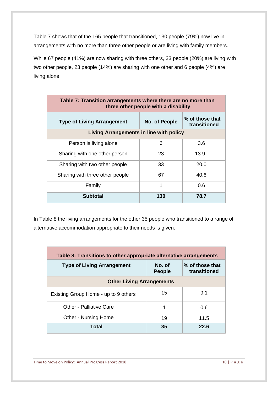Table 7 shows that of the 165 people that transitioned, 130 people (79%) now live in arrangements with no more than three other people or are living with family members.

While 67 people (41%) are now sharing with three others, 33 people (20%) are living with two other people, 23 people (14%) are sharing with one other and 6 people (4%) are living alone.

| Table 7: Transition arrangements where there are no more than<br>three other people with a disability |                                         |                                 |  |  |  |  |
|-------------------------------------------------------------------------------------------------------|-----------------------------------------|---------------------------------|--|--|--|--|
| <b>Type of Living Arrangement</b>                                                                     | No. of People                           | % of those that<br>transitioned |  |  |  |  |
|                                                                                                       | Living Arrangements in line with policy |                                 |  |  |  |  |
| Person is living alone                                                                                | 6                                       | 3.6                             |  |  |  |  |
| Sharing with one other person                                                                         | 23                                      | 13.9                            |  |  |  |  |
| Sharing with two other people                                                                         | 33                                      | 20.0                            |  |  |  |  |
| Sharing with three other people                                                                       | 67                                      | 40.6                            |  |  |  |  |
| Family                                                                                                | 1                                       | 0.6                             |  |  |  |  |
| <b>Subtotal</b>                                                                                       | 130                                     | 78.7                            |  |  |  |  |

In Table 8 the living arrangements for the other 35 people who transitioned to a range of alternative accommodation appropriate to their needs is given.

| Table 8: Transitions to other appropriate alternative arrangements |                         |                                 |  |  |  |
|--------------------------------------------------------------------|-------------------------|---------------------------------|--|--|--|
| <b>Type of Living Arrangement</b>                                  | No. of<br><b>People</b> | % of those that<br>transitioned |  |  |  |
| <b>Other Living Arrangements</b>                                   |                         |                                 |  |  |  |
| 15<br>9.1<br>Existing Group Home - up to 9 others                  |                         |                                 |  |  |  |
| Other - Palliative Care                                            | 1                       | 0.6                             |  |  |  |
| Other - Nursing Home                                               | 19                      | 11.5                            |  |  |  |
| Total                                                              | 35                      | 22.6                            |  |  |  |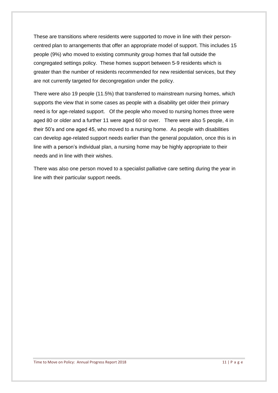These are transitions where residents were supported to move in line with their personcentred plan to arrangements that offer an appropriate model of support. This includes 15 people (9%) who moved to existing community group homes that fall outside the congregated settings policy. These homes support between 5-9 residents which is greater than the number of residents recommended for new residential services, but they are not currently targeted for decongregation under the policy.

There were also 19 people (11.5%) that transferred to mainstream nursing homes, which supports the view that in some cases as people with a disability get older their primary need is for age-related support. Of the people who moved to nursing homes three were aged 80 or older and a further 11 were aged 60 or over. There were also 5 people, 4 in their 50's and one aged 45, who moved to a nursing home. As people with disabilities can develop age-related support needs earlier than the general population, once this is in line with a person's individual plan, a nursing home may be highly appropriate to their needs and in line with their wishes.

There was also one person moved to a specialist palliative care setting during the year in line with their particular support needs.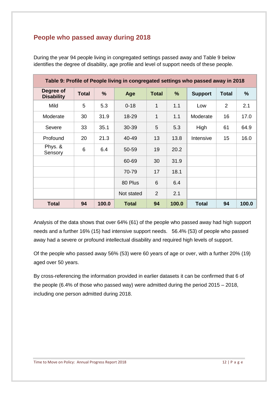### **People who passed away during 2018**

| During the year 94 people living in congregated settings passed away and Table 9 below       |
|----------------------------------------------------------------------------------------------|
| identifies the degree of disability, age profile and level of support needs of these people. |

| Table 9: Profile of People living in congregated settings who passed away in 2018 |              |       |              |                 |       |                |              |       |
|-----------------------------------------------------------------------------------|--------------|-------|--------------|-----------------|-------|----------------|--------------|-------|
| Degree of<br><b>Disability</b>                                                    | <b>Total</b> | %     | Age          | <b>Total</b>    | %     | <b>Support</b> | <b>Total</b> | $\%$  |
| Mild                                                                              | 5            | 5.3   | $0 - 18$     | 1               | 1.1   | Low            | 2            | 2.1   |
| Moderate                                                                          | 30           | 31.9  | 18-29        | 1               | 1.1   | Moderate       | 16           | 17.0  |
| Severe                                                                            | 33           | 35.1  | 30-39        | 5               | 5.3   | High           | 61           | 64.9  |
| Profound                                                                          | 20           | 21.3  | 40-49        | 13              | 13.8  | Intensive      | 15           | 16.0  |
| Phys. &<br>Sensory                                                                | 6            | 6.4   | 50-59        | 19              | 20.2  |                |              |       |
|                                                                                   |              |       | 60-69        | 30              | 31.9  |                |              |       |
|                                                                                   |              |       | 70-79        | 17              | 18.1  |                |              |       |
|                                                                                   |              |       | 80 Plus      | $6\phantom{1}6$ | 6.4   |                |              |       |
|                                                                                   |              |       | Not stated   | $\overline{2}$  | 2.1   |                |              |       |
| <b>Total</b>                                                                      | 94           | 100.0 | <b>Total</b> | 94              | 100.0 | <b>Total</b>   | 94           | 100.0 |

Analysis of the data shows that over 64% (61) of the people who passed away had high support needs and a further 16% (15) had intensive support needs. 56.4% (53) of people who passed away had a severe or profound intellectual disability and required high levels of support.

Of the people who passed away 56% (53) were 60 years of age or over, with a further 20% (19) aged over 50 years.

By cross-referencing the information provided in earlier datasets it can be confirmed that 6 of the people (6.4% of those who passed way) were admitted during the period 2015 – 2018, including one person admitted during 2018.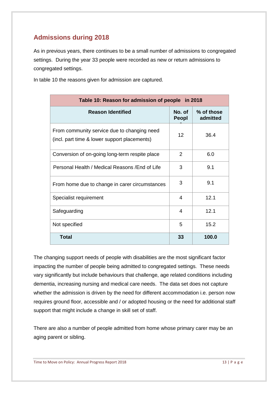### **Admissions during 2018**

As in previous years, there continues to be a small number of admissions to congregated settings. During the year 33 people were recorded as new or return admissions to congregated settings.

In table 10 the reasons given for admission are captured.

| Table 10: Reason for admission of people in 2018                                            |                 |                        |  |
|---------------------------------------------------------------------------------------------|-----------------|------------------------|--|
| <b>Reason Identified</b>                                                                    | No. of<br>Peopl | % of those<br>admitted |  |
| From community service due to changing need<br>(incl. part time & lower support placements) | 12              | 36.4                   |  |
| Conversion of on-going long-term respite place                                              | 2               | 6.0                    |  |
| Personal Health / Medical Reasons / End of Life                                             | 3               | 9.1                    |  |
| From home due to change in carer circumstances                                              | 3               | 9.1                    |  |
| Specialist requirement                                                                      | 4               | 12.1                   |  |
| Safeguarding                                                                                | 4               | 12.1                   |  |
| Not specified                                                                               | 5               | 15.2                   |  |
| Total                                                                                       | 33              | 100.0                  |  |

The changing support needs of people with disabilities are the most significant factor impacting the number of people being admitted to congregated settings. These needs vary significantly but include behaviours that challenge, age related conditions including dementia, increasing nursing and medical care needs. The data set does not capture whether the admission is driven by the need for different accommodation i.e. person now requires ground floor, accessible and / or adopted housing or the need for additional staff support that might include a change in skill set of staff.

There are also a number of people admitted from home whose primary carer may be an aging parent or sibling.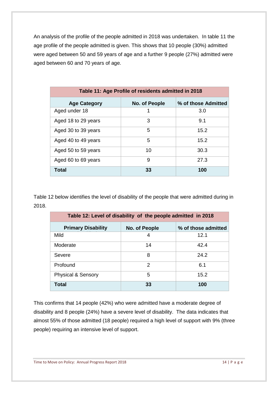An analysis of the profile of the people admitted in 2018 was undertaken. In table 11 the age profile of the people admitted is given. This shows that 10 people (30%) admitted were aged between 50 and 59 years of age and a further 9 people (27%) admitted were aged between 60 and 70 years of age.

| Table 11: Age Profile of residents admitted in 2018         |    |      |  |  |  |  |
|-------------------------------------------------------------|----|------|--|--|--|--|
| % of those Admitted<br><b>Age Category</b><br>No. of People |    |      |  |  |  |  |
| Aged under 18                                               |    | 3.0  |  |  |  |  |
| Aged 18 to 29 years                                         | 3  | 9.1  |  |  |  |  |
| Aged 30 to 39 years                                         | 5  | 15.2 |  |  |  |  |
| Aged 40 to 49 years                                         | 5  | 15.2 |  |  |  |  |
| Aged 50 to 59 years                                         | 10 | 30.3 |  |  |  |  |
| Aged 60 to 69 years                                         | 9  | 27.3 |  |  |  |  |
| <b>Total</b>                                                | 33 | 100  |  |  |  |  |

Table 12 below identifies the level of disability of the people that were admitted during in 2018.

| Table 12: Level of disability of the people admitted in 2018 |               |                     |  |
|--------------------------------------------------------------|---------------|---------------------|--|
| <b>Primary Disability</b>                                    | No. of People | % of those admitted |  |
| Mild                                                         | 4             | 12.1                |  |
| Moderate                                                     | 14            | 42.4                |  |
| Severe                                                       | 8             | 24.2                |  |
| Profound                                                     | 2             | 6.1                 |  |
| <b>Physical &amp; Sensory</b>                                | 5             | 15.2                |  |
| Total                                                        | 33            | 100                 |  |

This confirms that 14 people (42%) who were admitted have a moderate degree of disability and 8 people (24%) have a severe level of disability. The data indicates that almost 55% of those admitted (18 people) required a high level of support with 9% (three people) requiring an intensive level of support.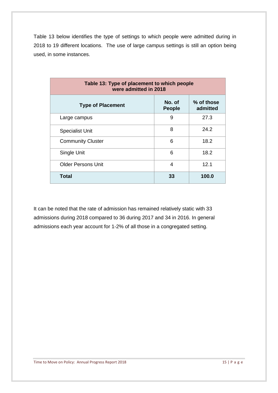Table 13 below identifies the type of settings to which people were admitted during in 2018 to 19 different locations. The use of large campus settings is still an option being used, in some instances.

| Table 13: Type of placement to which people<br>were admitted in 2018 |                         |                        |
|----------------------------------------------------------------------|-------------------------|------------------------|
| <b>Type of Placement</b>                                             | No. of<br><b>People</b> | % of those<br>admitted |
| Large campus                                                         | 9                       | 27.3                   |
| <b>Specialist Unit</b>                                               | 8                       | 24.2                   |
| <b>Community Cluster</b>                                             | 6                       | 18.2                   |
| Single Unit                                                          | 6                       | 18.2                   |
| <b>Older Persons Unit</b>                                            | 4                       | 12.1                   |
| <b>Total</b>                                                         | 33                      | 100.0                  |

It can be noted that the rate of admission has remained relatively static with 33 admissions during 2018 compared to 36 during 2017 and 34 in 2016. In general admissions each year account for 1-2% of all those in a congregated setting.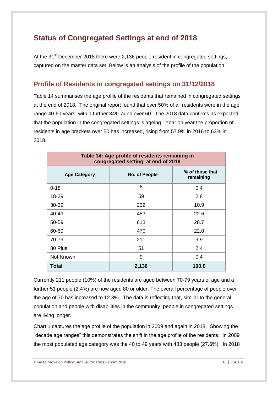## **Status of Congregated Settings at end of 2018**

At the 31<sup>st</sup> December 2018 there were 2,136 people resident in congregated settings, captured on the master data set. Below is an analysis of the profile of the population.

### **Profile of Residents in congregated settings on 31/12/2018**

Table 14 summarises the age profile of the residents that remained in congregated settings at the end of 2018. The original report found that over 50% of all residents were in the age range 40-60 years, with a further 34% aged over 60. The 2018 data confirms as expected that the population in the congregated settings is ageing. Year on year the proportion of residents in age brackets over 50 has increased, rising from 57.9% in 2016 to 63% in 2018.

| Table 14: Age profile of residents remaining in<br>congregated setting at end of 2018 |               |                              |
|---------------------------------------------------------------------------------------|---------------|------------------------------|
| <b>Age Category</b>                                                                   | No. of People | % of those that<br>remaining |
| $0 - 18$                                                                              | 8             | 0.4                          |
| 18-29                                                                                 | 59            | 2.8                          |
| 30-39                                                                                 | 232           | 10.9                         |
| 40-49                                                                                 | 483           | 22.6                         |
| 50-59                                                                                 | 613           | 28.7                         |
| 60-69                                                                                 | 470           | 22.0                         |
| 70-79                                                                                 | 211           | 9.9                          |
| 80 Plus                                                                               | 51            | 2.4                          |
| Not Known                                                                             | 9             | 0.4                          |
| Total                                                                                 | 2,136         | 100.0                        |

Currently 211 people (10%) of the residents are aged between 70-79 years of age and a further 51 people (2.4%) are now aged 80 or older. The overall percentage of people over the age of 70 has increased to 12.3%. The data is reflecting that, similar to the general population and people with disabilities in the community, people in congregated settings are living longer.

Chart 1 captures the age profile of the population in 2009 and again in 2018. Showing the "decade age ranges" this demonstrates the shift in the age profile of the residents. In 2009 the most populated age category was the 40 to 49 years with 483 people (27.6%). In 2018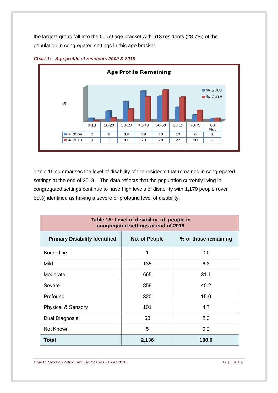the largest group fall into the 50-59 age bracket with 613 residents (28.7%) of the population in congregated settings in this age bracket.



*Chart 1: Age profile of residents 2009 & 2018*

Table 15 summarises the level of disability of the residents that remained in congregated settings at the end of 2018. The data reflects that the population currently living in congregated settings continue to have high levels of disability with 1,179 people (over 55%) identified as having a severe or profound level of disability.

| Table 15: Level of disability of people in<br>congregated settings at end of 2018 |               |                      |  |
|-----------------------------------------------------------------------------------|---------------|----------------------|--|
| <b>Primary Disability Identified</b>                                              | No. of People | % of those remaining |  |
| <b>Borderline</b>                                                                 | 1             | 0.0                  |  |
| Mild                                                                              | 135           | 6.3                  |  |
| Moderate                                                                          | 665           | 31.1                 |  |
| Severe                                                                            | 859           | 40.2                 |  |
| Profound                                                                          | 320           | 15.0                 |  |
| <b>Physical &amp; Sensory</b>                                                     | 101           | 4.7                  |  |
| <b>Dual Diagnosis</b>                                                             | 50            | 2.3                  |  |
| Not Known                                                                         | 5             | 0.2                  |  |
| Total                                                                             | 2,136         | 100.0                |  |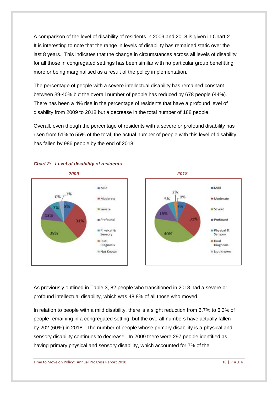A comparison of the level of disability of residents in 2009 and 2018 is given in Chart 2. It is interesting to note that the range in levels of disability has remained static over the last 8 years. This indicates that the change in circumstances across all levels of disability for all those in congregated settings has been similar with no particular group benefitting more or being marginalised as a result of the policy implementation.

The percentage of people with a severe intellectual disability has remained constant between 39-40% but the overall number of people has reduced by 678 people (44%). . There has been a 4% rise in the percentage of residents that have a profound level of disability from 2009 to 2018 but a decrease in the total number of 188 people.

Overall, even though the percentage of residents with a severe or profound disability has risen from 51% to 55% of the total, the actual number of people with this level of disability has fallen by 986 people by the end of 2018.



#### *Chart 2: Level of disability of residents*

As previously outlined in Table 3, 82 people who transitioned in 2018 had a severe or profound intellectual disability, which was 48.8% of all those who moved.

In relation to people with a mild disability, there is a slight reduction from 6.7% to 6.3% of people remaining in a congregated setting, but the overall numbers have actually fallen by 202 (60%) in 2018. The number of people whose primary disability is a physical and sensory disability continues to decrease. In 2009 there were 297 people identified as having primary physical and sensory disability, which accounted for 7% of the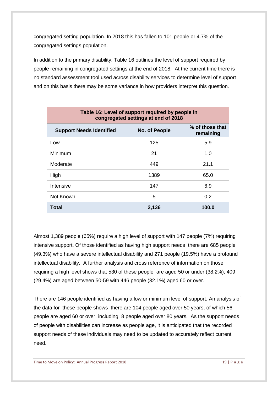congregated setting population. In 2018 this has fallen to 101 people or 4.7% of the congregated settings population.

In addition to the primary disability, Table 16 outlines the level of support required by people remaining in congregated settings at the end of 2018. At the current time there is no standard assessment tool used across disability services to determine level of support and on this basis there may be some variance in how providers interpret this question.

| Table 16: Level of support required by people in<br>congregated settings at end of 2018 |               |                              |
|-----------------------------------------------------------------------------------------|---------------|------------------------------|
| <b>Support Needs Identified</b>                                                         | No. of People | % of those that<br>remaining |
| Low                                                                                     | 125           | 5.9                          |
| Minimum                                                                                 | 21            | 1.0                          |
| Moderate                                                                                | 449           | 21.1                         |
| High                                                                                    | 1389          | 65.0                         |
| Intensive                                                                               | 147           | 6.9                          |
| Not Known                                                                               | 5             | 0.2                          |
| Total                                                                                   | 2,136         | 100.0                        |

Almost 1,389 people (65%) require a high level of support with 147 people (7%) requiring intensive support. Of those identified as having high support needs there are 685 people (49.3%) who have a severe intellectual disability and 271 people (19.5%) have a profound intellectual disability. A further analysis and cross reference of information on those requiring a high level shows that 530 of these people are aged 50 or under (38.2%), 409 (29.4%) are aged between 50-59 with 446 people (32.1%) aged 60 or over.

There are 146 people identified as having a low or minimum level of support. An analysis of the data for these people shows there are 104 people aged over 50 years, of which 56 people are aged 60 or over, including 8 people aged over 80 years. As the support needs of people with disabilities can increase as people age, it is anticipated that the recorded support needs of these individuals may need to be updated to accurately reflect current need.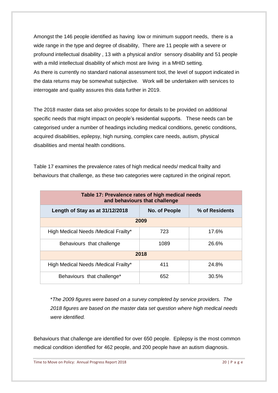Amongst the 146 people identified as having low or minimum support needs, there is a wide range in the type and degree of disability, There are 11 people with a severe or profound intellectual disability , 13 with a physical and/or sensory disability and 51 people with a mild intellectual disability of which most are living in a MHID setting. As there is currently no standard national assessment tool, the level of support indicated in the data returns may be somewhat subjective. Work will be undertaken with services to interrogate and quality assures this data further in 2019.

The 2018 master data set also provides scope for details to be provided on additional specific needs that might impact on people's residential supports. These needs can be categorised under a number of headings including medical conditions, genetic conditions, acquired disabilities, epilepsy, high nursing, complex care needs, autism, physical disabilities and mental health conditions.

Table 17 examines the prevalence rates of high medical needs/ medical frailty and behaviours that challenge, as these two categories were captured in the original report.

| Table 17: Prevalence rates of high medical needs<br>and behaviours that challenge |               |                |  |
|-----------------------------------------------------------------------------------|---------------|----------------|--|
| Length of Stay as at 31/12/2018                                                   | No. of People | % of Residents |  |
| 2009                                                                              |               |                |  |
| High Medical Needs / Medical Frailty*                                             | 723           | 17.6%          |  |
| Behaviours that challenge                                                         | 1089          | 26.6%          |  |
| 2018                                                                              |               |                |  |
| High Medical Needs / Medical Frailty*                                             | 411           | 24.8%          |  |
| Behaviours that challenge*                                                        | 652           | 30.5%          |  |

\**The 2009 figures were based on a survey completed by service providers. The 2018 figures are based on the master data set question where high medical needs were identified.* 

Behaviours that challenge are identified for over 650 people. Epilepsy is the most common medical condition identified for 462 people, and 200 people have an autism diagnosis.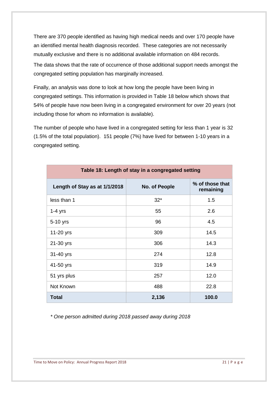There are 370 people identified as having high medical needs and over 170 people have an identified mental health diagnosis recorded. These categories are not necessarily mutually exclusive and there is no additional available information on 484 records.

The data shows that the rate of occurrence of those additional support needs amongst the congregated setting population has marginally increased.

Finally, an analysis was done to look at how long the people have been living in congregated settings. This information is provided in Table 18 below which shows that 54% of people have now been living in a congregated environment for over 20 years (not including those for whom no information is available).

The number of people who have lived in a congregated setting for less than 1 year is 32 (1.5% of the total population). 151 people (7%) have lived for between 1-10 years in a congregated setting.

| Table 18: Length of stay in a congregated setting |               |                              |
|---------------------------------------------------|---------------|------------------------------|
| Length of Stay as at 1/1/2018                     | No. of People | % of those that<br>remaining |
| less than 1                                       | $32*$         | 1.5                          |
| $1-4$ yrs                                         | 55            | 2.6                          |
| 5-10 yrs                                          | 96            | 4.5                          |
| 11-20 yrs                                         | 309           | 14.5                         |
| 21-30 yrs                                         | 306           | 14.3                         |
| 31-40 yrs                                         | 274           | 12.8                         |
| 41-50 yrs                                         | 319           | 14.9                         |
| 51 yrs plus                                       | 257           | 12.0                         |
| Not Known                                         | 488           | 22.8                         |
| <b>Total</b>                                      | 2,136         | 100.0                        |

*\* One person admitted during 2018 passed away during 2018*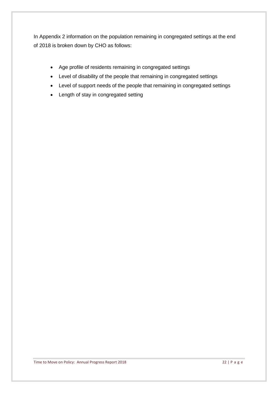In Appendix 2 information on the population remaining in congregated settings at the end of 2018 is broken down by CHO as follows:

- Age profile of residents remaining in congregated settings
- Level of disability of the people that remaining in congregated settings
- Level of support needs of the people that remaining in congregated settings
- Length of stay in congregated setting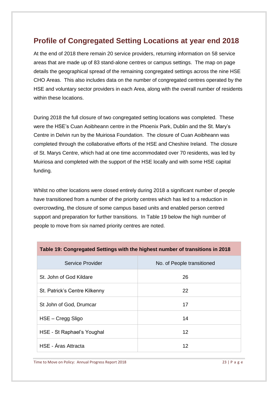## **Profile of Congregated Setting Locations at year end 2018**

At the end of 2018 there remain 20 service providers, returning information on 58 service areas that are made up of 83 stand-alone centres or campus settings. The map on page details the geographical spread of the remaining congregated settings across the nine HSE CHO Areas. This also includes data on the number of congregated centres operated by the HSE and voluntary sector providers in each Area, along with the overall number of residents within these locations.

During 2018 the full closure of two congregated setting locations was completed. These were the HSE's Cuan Aoibheann centre in the Phoenix Park, Dublin and the St. Mary's Centre in Delvin run by the Muiriosa Foundation. The closure of Cuan Aoibheann was completed through the collaborative efforts of the HSE and Cheshire Ireland. The closure of St. Marys Centre, which had at one time accommodated over 70 residents, was led by Muiriosa and completed with the support of the HSE locally and with some HSE capital funding.

Whilst no other locations were closed entirely during 2018 a significant number of people have transitioned from a number of the priority centres which has led to a reduction in overcrowding, the closure of some campus based units and enabled person centred support and preparation for further transitions. In Table 19 below the high number of people to move from six named priority centres are noted.

| Table 19: Congregated Settings with the highest number of transitions in 2018 |                            |  |
|-------------------------------------------------------------------------------|----------------------------|--|
| Service Provider                                                              | No. of People transitioned |  |
| St. John of God Kildare                                                       | 26                         |  |
| St. Patrick's Centre Kilkenny                                                 | 22                         |  |
| St John of God, Drumcar                                                       | 17                         |  |
| HSE - Cregg Sligo                                                             | 14                         |  |
| HSE - St Raphael's Youghal                                                    | 12                         |  |
| HSE - Áras Attracta                                                           | 12                         |  |

Time to Move on Policy: Annual Progress Report 2018 23 | P a g e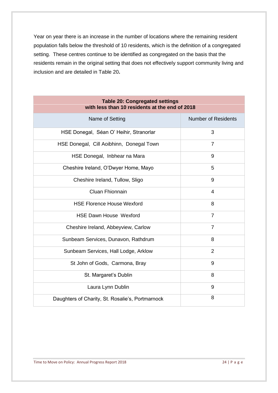Year on year there is an increase in the number of locations where the remaining resident population falls below the threshold of 10 residents, which is the definition of a congregated setting. These centres continue to be identified as congregated on the basis that the residents remain in the original setting that does not effectively support community living and inclusion and are detailed in Table 20**.** 

| <b>Table 20: Congregated settings</b><br>with less than 10 residents at the end of 2018 |                            |  |
|-----------------------------------------------------------------------------------------|----------------------------|--|
| Name of Setting                                                                         | <b>Number of Residents</b> |  |
| HSE Donegal, Séan O' Heihir, Stranorlar                                                 | 3                          |  |
| HSE Donegal, Cill Aoibhinn, Donegal Town                                                | $\overline{7}$             |  |
| HSE Donegal, Inbhear na Mara                                                            | 9                          |  |
| Cheshire Ireland, O'Dwyer Home, Mayo                                                    | 5                          |  |
| Cheshire Ireland, Tullow, Sligo                                                         | 9                          |  |
| <b>Cluan Fhionnain</b>                                                                  | 4                          |  |
| <b>HSE Florence House Wexford</b>                                                       | 8                          |  |
| <b>HSE Dawn House Wexford</b>                                                           | $\overline{7}$             |  |
| Cheshire Ireland, Abbeyview, Carlow                                                     | $\overline{7}$             |  |
| Sunbeam Services, Dunavon, Rathdrum                                                     | 8                          |  |
| Sunbeam Services, Hall Lodge, Arklow                                                    | $\overline{2}$             |  |
| St John of Gods, Carmona, Bray                                                          | 9                          |  |
| St. Margaret's Dublin                                                                   | 8                          |  |
| Laura Lynn Dublin                                                                       | 9                          |  |
| Daughters of Charity, St. Rosalie's, Portmarnock                                        | 8                          |  |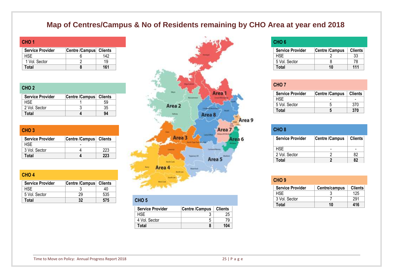## **Map of Centres/Campus & No of Residents remaining by CHO Area at year end 2018**

| CHO <sub>1</sub>        |                        |     |
|-------------------------|------------------------|-----|
| <b>Service Provider</b> | Centre /Campus Clients |     |
| HSF                     |                        | 142 |
| 1 Vol. Sector           |                        | 19  |
| Total                   |                        | 161 |

#### **CHO 2**

 $CHO A$ 

| <b>Service Provider</b> | Centre /Campus   Clients |  |
|-------------------------|--------------------------|--|
| HSF                     |                          |  |
| 2 Vol. Sector           |                          |  |
| Total                   |                          |  |

| CHO <sub>3</sub>        |                          |     |
|-------------------------|--------------------------|-----|
| <b>Service Provider</b> | Centre /Campus   Clients |     |
| HSE.                    |                          |     |
| 3 Vol. Sector           |                          | 223 |
| Total                   |                          | 223 |

| ______                  |                |                |                  |
|-------------------------|----------------|----------------|------------------|
| <b>Service Provider</b> | Centre /Campus | <b>Clients</b> |                  |
| <b>HSE</b>              |                |                |                  |
| 5 Vol. Sector           | 29             | 535            |                  |
| Total                   | ??             | 575            | CHO <sub>5</sub> |



| CHO <sub>5</sub>        |                       |                |
|-------------------------|-----------------------|----------------|
| <b>Service Provider</b> | <b>Centre /Campus</b> | <b>Clients</b> |
| HSF                     |                       | 25             |
| 4 Vol. Sector           |                       | 79             |
| Total                   |                       | 104            |

#### **CHO 6**

| <b>Service Provider</b> | Centre /Campus | <b>Clients</b> |
|-------------------------|----------------|----------------|
| HSF.                    |                | 33             |
| 5 Vol. Sector           |                | 78             |
| Total                   | 10             | 111            |

| CHO <sub>7</sub> |                         |                       |                |
|------------------|-------------------------|-----------------------|----------------|
|                  | <b>Service Provider</b> | <b>Centre /Campus</b> | <b>Clients</b> |
| HSE.             |                         |                       |                |
| 5 Vol. Sector    |                         |                       | 370            |
| Total            |                         |                       | 370            |

| CHO <sub>8</sub>        |                |                |
|-------------------------|----------------|----------------|
| <b>Service Provider</b> | Centre /Campus | <b>Clients</b> |
| HSE.                    |                |                |
| 2 Vol. Sector           |                | 82             |
| Total                   |                | 82             |

| CHO <sub>9</sub>        |               |                |
|-------------------------|---------------|----------------|
| <b>Service Provider</b> | Centre/campus | <b>Clients</b> |
| <b>HSE</b>              |               | 125            |
| 3 Vol. Sector           |               | 291            |
| Total                   | 10            | 416            |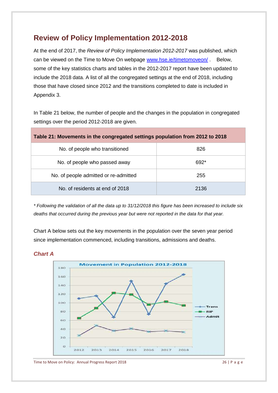## **Review of Policy Implementation 2012-2018**

At the end of 2017, the *Review of Policy Implementation 2012-2017* was published, which can be viewed on the Time to Move On webpage [www.hse.ie/timetomoveon/](http://www.hse.ie/timetomoveon/) . Below, some of the key statistics charts and tables in the 2012-2017 report have been updated to include the 2018 data. A list of all the congregated settings at the end of 2018, including those that have closed since 2012 and the transitions completed to date is included in Appendix 3.

In Table 21 below, the number of people and the changes in the population in congregated settings over the period 2012-2018 are given.

| Table 21: Movements in the congregated settings population from 2012 to 2018 |      |  |  |  |  |  |
|------------------------------------------------------------------------------|------|--|--|--|--|--|
| No. of people who transitioned                                               | 826  |  |  |  |  |  |
| No. of people who passed away                                                | 692* |  |  |  |  |  |
| No. of people admitted or re-admitted                                        | 255  |  |  |  |  |  |
| No. of residents at end of 2018                                              | 2136 |  |  |  |  |  |

*\* Following the validation of all the data up to 31/12/2018 this figure has been increased to include six deaths that occurred during the previous year but were not reported in the data for that year.*

Chart A below sets out the key movements in the population over the seven year period since implementation commenced, including transitions, admissions and deaths.





Time to Move on Policy: Annual Progress Report 2018 26 | P a g e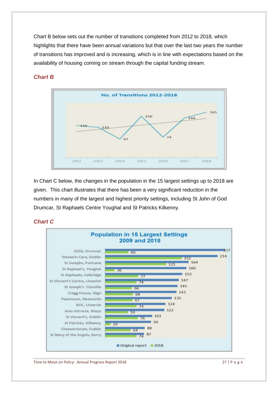Chart B below sets out the number of transitions completed from 2012 to 2018, which highlights that there have been annual variations but that over the last two years the number of transitions has improved and is increasing, which is in line with expectations based on the availability of housing coming on stream through the capital funding stream.



#### *Chart B*

In Chart C below, the changes in the population in the 15 largest settings up to 2018 are given. This chart illustrates that there has been a very significant reduction in the numbers in many of the largest and highest priority settings, including St John of God Drumcar, St Raphaels Centre Youghal and St Patricks Kilkenny.

#### *Chart C*

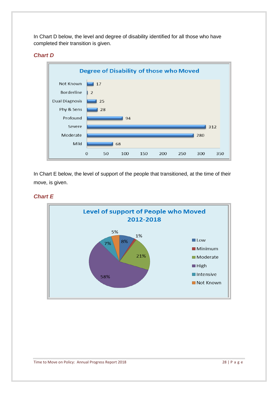In Chart D below, the level and degree of disability identified for all those who have completed their transition is given.

#### *Chart D*



In Chart E below, the level of support of the people that transitioned, at the time of their move, is given.

#### *Chart E*

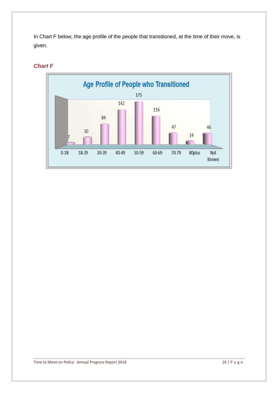In Chart F below, the age profile of the people that transitioned, at the time of their move, is given.



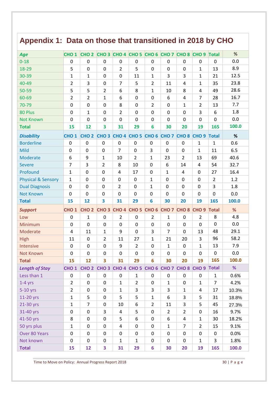# **Appendix 1: Data on those that transitioned in 2018 by CHO**

| Age                           | CHO <sub>1</sub> | CHO <sub>2</sub> | CHO <sub>3</sub>                          |                    |                    | CHO 4 CHO 5 CHO 6 CHO 7 |                  | CHO <sub>8</sub> | CHO <sub>9</sub> | <b>Total</b>     | %             |
|-------------------------------|------------------|------------------|-------------------------------------------|--------------------|--------------------|-------------------------|------------------|------------------|------------------|------------------|---------------|
| $0 - 18$                      | $\mathbf 0$      | $\mathbf 0$      | $\pmb{0}$                                 | $\boldsymbol{0}$   | $\mathbf 0$        | $\boldsymbol{0}$        | $\boldsymbol{0}$ | $\pmb{0}$        | $\mathbf 0$      | $\mathbf 0$      | 0.0           |
| 18-29                         | 5                | $\mathbf 0$      | 0                                         | $\overline{2}$     | 5                  | $\mathbf 0$             | 0                | 0                | $\mathbf{1}$     | 13               | 8.9           |
| 30-39                         | 1                | $\mathbf{1}$     | $\mathbf 0$                               | $\overline{0}$     | 11                 | $\mathbf{1}$            | 3                | 3                | $\mathbf{1}$     | 21               | 12.5          |
| 40-49                         | $\overline{2}$   | 3                | 0                                         | $\overline{7}$     | 5                  | $\overline{2}$          | 11               | 4                | $\mathbf{1}$     | 35               | 23.8          |
| 50-59                         | 5                | 5                | $\overline{2}$                            | 6                  | 8                  | $\mathbf{1}$            | 10               | 8                | 4                | 49               | 28.6          |
| 60-69                         | $\overline{2}$   | $\overline{2}$   | $\mathbf{1}$                              | 6                  | $\mathbf 0$        | $\mathbf 0$             | 6                | 4                | $\overline{7}$   | 28               | 16.7          |
| 70-79                         | $\boldsymbol{0}$ | $\pmb{0}$        | $\pmb{0}$                                 | 8                  | $\mathbf 0$        | $\overline{2}$          | $\mathbf 0$      | 1                | $\overline{2}$   | 13               | 7.7           |
| 80 Plus                       | $\mathbf 0$      | $\mathbf{1}$     | $\pmb{0}$                                 | $\overline{2}$     | $\mathbf 0$        | $\mathbf 0$             | 0                | $\mathbf 0$      | 3                | 6                | 1.8           |
| <b>Not Known</b>              | 0                | $\Omega$         | 0                                         | 0                  | 0                  | 0                       | 0                | 0                | 0                | $\Omega$         | 0.0           |
| <b>Total</b>                  | 15               | 12               | 3                                         | 31                 | 29                 | 6                       | 30               | 20               | 19               | 165              | 100.0         |
| <b>Disability</b>             | CHO <sub>1</sub> | CHO <sub>2</sub> | CHO <sub>3</sub>                          | CHO 4 CHO 5        |                    | CHO <sub>6</sub>        | CHO <sub>7</sub> | CHO <sub>8</sub> | CHO <sub>9</sub> | <b>Total</b>     | %             |
| <b>Borderline</b>             | 0                | $\mathbf 0$      | $\mathbf 0$                               | $\mathbf 0$        | $\boldsymbol{0}$   | $\mathbf 0$             | $\mathbf 0$      | 0                | $\mathbf{1}$     | $\mathbf{1}$     | 0.6           |
| Mild                          | 0                | 0                | $\boldsymbol{0}$                          | $\overline{7}$     | 0                  | 3                       | 0                | 0                | $\mathbf{1}$     | 11               | 6.5           |
| Moderate                      | 6                | 9                | $\mathbf{1}$                              | 10                 | $\overline{2}$     | $\mathbf{1}$            | 23               | $\overline{2}$   | 13               | 69               | 40.6          |
| <b>Severe</b>                 | $\overline{7}$   | 3                | $\overline{2}$                            | 8                  | 10                 | $\mathbf 0$             | 6                | 14               | $\overline{4}$   | 54               | 32.7          |
| Profound                      | $\mathbf{1}$     | $\mathbf 0$      | $\mathbf 0$                               | $\overline{4}$     | 17                 | $\mathbf 0$             | $\mathbf 1$      | 4                | $\mathbf 0$      | 27               | 16.4          |
| <b>Physical &amp; Sensory</b> | $\mathbf{1}$     | $\mathbf 0$      | $\mathbf 0$                               | $\mathbf 0$        | $\pmb{0}$          | $\mathbf{1}$            | $\mathbf 0$      | 0                | $\mathbf 0$      | $\overline{2}$   | 1.2           |
| <b>Dual Diagnosis</b>         | $\overline{0}$   | $\boldsymbol{0}$ | $\mathbf 0$                               | $\overline{2}$     | $\mathbf 0$        | $\mathbf{1}$            | $\mathbf 0$      | 0                | $\mathbf 0$      | 3                | 1.8           |
| <b>Not Known</b>              | 0                | $\mathbf 0$      | $\mathbf 0$                               | $\mathbf 0$        | $\mathbf 0$        | $\mathbf 0$             | $\mathbf 0$      | 0                | $\mathbf 0$      | $\mathbf 0$      | 0.0           |
| <b>Total</b>                  | 15               | 12               | 3                                         | 31                 | 29                 | 6                       | 30               | 20               | 19               | 165              | 100.0         |
| <b>Support</b>                | CHO <sub>1</sub> | CHO <sub>2</sub> | CHO 3 CHO 4 CHO 5 CHO 6 CHO 7             |                    |                    |                         |                  | CHO <sub>8</sub> | CHO <sub>9</sub> | Total            | %             |
| Low                           | $\boldsymbol{0}$ | $\mathbf{1}$     | $\pmb{0}$                                 | $\overline{2}$     | $\boldsymbol{0}$   | $\overline{2}$          | $\mathbf{1}$     | $\boldsymbol{0}$ | $\overline{2}$   | 8                | 4.8           |
| Minimum                       | $\mathbf 0$      | $\mathbf 0$      | $\mathbf 0$                               | 0                  | $\mathbf 0$        | $\mathbf 0$             | 0                | $\mathbf 0$      | 0                | $\mathbf 0$      | 0.0           |
| Moderate                      | 4                | 11               | $\mathbf{1}$                              | 9                  | $\mathbf 0$        | 3                       | 7                | 0                | 13               | 48               | 29.1          |
| High                          | 11               | $\mathbf 0$      | $\overline{2}$                            | 11                 | 27                 | 1                       | 21               | 20               | 3                | 96               | 58.2          |
| Intensive                     | $\mathbf 0$      | $\boldsymbol{0}$ | 0                                         | 9                  | $\overline{2}$     | $\mathbf 0$             | $\mathbf{1}$     | $\mathbf 0$      | $\mathbf{1}$     | 13               | 7.9           |
| <b>Not Known</b>              | $\boldsymbol{0}$ | $\mathbf 0$      | 0                                         | 0                  | $\boldsymbol{0}$   | $\mathbf 0$             | $\boldsymbol{0}$ | 0                | 0                | $\boldsymbol{0}$ | 0.0           |
| <b>Total</b>                  | 15               | 12               | 3                                         | 31                 | 29                 | 6                       | 30               | 20               | 19               | 165              | 100.0         |
| <b>Length of Stay</b>         | CHO <sub>1</sub> | CHO <sub>2</sub> | CHO 3 CHO 4 CHO 5 CHO 6 CHO 7 CHO 8 CHO 9 |                    |                    |                         |                  |                  |                  | <b>Total</b>     | %             |
| Less than 1                   | $\pmb{0}$        | $\boldsymbol{0}$ | $\pmb{0}$                                 | 0                  | $\mathbf{1}$       | $\boldsymbol{0}$        | $\boldsymbol{0}$ | $\pmb{0}$        | $\pmb{0}$        | $\mathbf{1}$     | 0.6%          |
| $1-4$ yrs                     | $\overline{2}$   | $\pmb{0}$        | $\pmb{0}$                                 | $\mathbf{1}$       | $\overline{2}$     | $\boldsymbol{0}$        | $\mathbf{1}$     | $\mathbf 0$      | $\mathbf{1}$     | $\overline{7}$   | 4.2%          |
| 5-10 yrs                      | $\overline{2}$   | $\boldsymbol{0}$ | 0                                         | $\mathbf{1}$       | 3                  | 3                       | 3                | $\mathbf 1$      | 4                | 17               | 10.3%         |
| 11-20 yrs                     | $\mathbf{1}$     | 5                | $\pmb{0}$                                 | 5                  | 5                  | $\mathbf 1$             | 6                | 3                | 5                | 31               | 18.8%         |
| 21-30 yrs                     | $\mathbf 1$      | $\overline{7}$   | 0                                         | 10                 | 6                  | $\overline{2}$          | 11               | 3                | 5                | 45               | 27.3%         |
| 31-40 yrs                     | 0                | $\pmb{0}$        | 3                                         | 4                  | 5                  | $\pmb{0}$               | $\overline{2}$   | $\overline{2}$   | 0                | 16               | 9.7%          |
| 41-50 yrs                     | 8                | $\pmb{0}$        | $\pmb{0}$                                 | 5                  | 6                  | $\boldsymbol{0}$        | 6                | 4                | $\mathbf{1}$     | 30               | 18.2%         |
| 50 yrs plus                   | $\mathbf 1$      | $\pmb{0}$        | $\pmb{0}$                                 | 4                  | $\mathbf 0$        | $\pmb{0}$               | $\mathbf{1}$     | $\overline{7}$   | $\overline{2}$   | 15               | 9.1%          |
| Over 80 Years                 | $\mathbf 0$      | $\pmb{0}$        | $\pmb{0}$                                 | 0                  | $\mathbf 0$        | $\mathbf 0$             | 0                | $\mathbf 0$      | 0                | $\mathbf 0$      | 0.0%          |
| Not known                     |                  |                  |                                           |                    |                    |                         |                  |                  |                  |                  |               |
| <b>Total</b>                  | 0<br>15          | 0<br>12          | 0<br>3                                    | $\mathbf{1}$<br>31 | $\mathbf{1}$<br>29 | 0<br>$6\phantom{1}6$    | 0<br>30          | 0<br>20          | 1<br>19          | 3<br>165         | 1.8%<br>100.0 |

Time to Move on Policy: Annual Progress Report 2018 30 | P a g e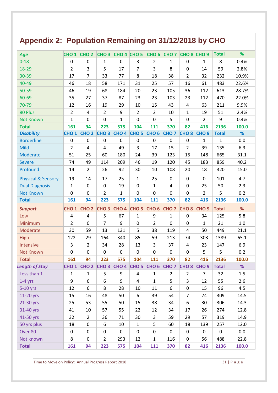# **Appendix 2: Population Remaining on 31/12/2018 by CHO**

| Age                                  | CHO <sub>1</sub> | CHO <sub>2</sub> | CHO <sub>3</sub> | CHO 4 CHO 5      |                  | CHO <sub>6</sub>   | CHO <sub>7</sub> | CHO <sub>8</sub> CHO <sub>9</sub> |                  | <b>Total</b> | %       |
|--------------------------------------|------------------|------------------|------------------|------------------|------------------|--------------------|------------------|-----------------------------------|------------------|--------------|---------|
| $0 - 18$                             | 0                | 0                | $\mathbf{1}$     | $\boldsymbol{0}$ | 3                | $\overline{2}$     | 1                | 0                                 | $\mathbf{1}$     | 8            | 0.4%    |
| 18-29                                | $\overline{2}$   | 3                | 5                | 17               | 7                | 3                  | 8                | $\overline{0}$                    | 14               | 59           | 2.8%    |
| 30-39                                | 17               | $\overline{7}$   | 33               | 77               | 8                | 18                 | 38               | $\overline{2}$                    | 32               | 232          | 10.9%   |
| 40-49                                | 46               | 18               | 58               | 171              | 31               | 25                 | 57               | 16                                | 61               | 483          | 22.6%   |
| 50-59                                | 46               | 19               | 68               | 184              | 20               | 23                 | 105              | 36                                | 112              | 613          | 28.7%   |
| 60-69                                | 35               | 27               | 37               | 87               | 23               | 23                 | 103              | 23                                | 112              | 470          | 22.0%   |
| 70-79                                | 12               | 16               | 19               | 29               | 10               | 15                 | 43               | $\overline{4}$                    | 63               | 211          | 9.9%    |
| 80 Plus                              | $\overline{2}$   | 4                | $\overline{2}$   | 9                | $\overline{2}$   | $\overline{2}$     | 10               | $\mathbf{1}$                      | 19               | 51           | 2.4%    |
| <b>Not Known</b>                     | $\mathbf{1}$     | 0                | $\mathbf 0$      | 1                | $\mathbf 0$      | $\mathbf 0$        | 5                | $\mathbf 0$                       | $\overline{2}$   | 9            | 0.4%    |
| <b>Total</b>                         | 161              | 94               | 223              | 575              | 104              | 111                | 370              | 82                                | 416              | 2136         | 100.0   |
| <b>Disability</b>                    | CHO <sub>1</sub> | CHO <sub>2</sub> | CHO <sub>3</sub> | CHO <sub>4</sub> | CHO <sub>5</sub> | CHO <sub>6</sub>   | CHO <sub>7</sub> | CHO <sub>8</sub>                  | CHO <sub>9</sub> | <b>Total</b> | %       |
| <b>Borderline</b>                    | $\pmb{0}$        | 0                | $\boldsymbol{0}$ | $\pmb{0}$        | $\mathbf 0$      | $\pmb{0}$          | $\pmb{0}$        | 0                                 | $\mathbf{1}$     | $\mathbf{1}$ | 0.0     |
| Mild                                 | $\overline{2}$   | 4                | $\overline{4}$   | 49               | 3                | 17                 | 15               | $\overline{2}$                    | 39               | 135          | 6.3     |
| Moderate                             | 51               | 25               | 60               | 180              | 24               | 39                 | 123              | 15                                | 148              | 665          | 31.1    |
| <b>Severe</b>                        | 74               | 49               | 114              | 209              | 46               | 19                 | 120              | 45                                | 183              | 859          | 40.2    |
| Profound                             | 14               | $\overline{2}$   | 26               | 92               | 30               | 10                 | 108              | 20                                | 18               | 320          | 15.0    |
| <b>Physical &amp; Sensory</b>        | 19               | 14               | 17               | 25               | $\mathbf{1}$     | 25                 | $\boldsymbol{0}$ | 0                                 | $\mathbf 0$      | 101          | 4.7     |
| <b>Dual Diagnosis</b>                | $\mathbf{1}$     | $\mathbf 0$      | $\mathbf 0$      | 19               | $\mathbf 0$      | $\mathbf{1}$       | 4                | 0                                 | 25               | 50           | 2.3     |
| <b>Not Known</b>                     | 0                | 0                | $\overline{2}$   | $\mathbf{1}$     | $\mathbf 0$      | $\mathbf 0$        | 0                | 0                                 | $\overline{2}$   | 5            | 0.2     |
| <b>Total</b>                         | 161              | 94               | 223              | 575              | 104              | 111                | 370              | 82                                | 416              | 2136         | 100.0   |
|                                      |                  |                  |                  |                  |                  |                    |                  |                                   |                  |              |         |
| <b>Support</b>                       | CHO <sub>1</sub> | CHO <sub>2</sub> | CHO <sub>3</sub> | CHO <sub>4</sub> | CHO <sub>5</sub> | CHO <sub>6</sub>   | CHO <sub>7</sub> | CHO <sub>8</sub>                  | CHO <sub>9</sub> | <b>Total</b> | %       |
| Low                                  | 4                | 4                | 5                | 67               | $\mathbf{1}$     | $9\,$              | $\mathbf 1$      | 0                                 | 34               | 125          | 5.8     |
| Minimum                              | $\overline{2}$   | 0                | $\overline{7}$   | 9                | $\pmb{0}$        | 2                  | $\mathbf 0$      | $\mathbf 0$                       | 1                | 21           | $1.0\,$ |
| Moderate                             | 30               | 59               | 13               | 131              | 5                | 38                 | 119              | 4                                 | 50               | 449          | 21.1    |
| <b>High</b>                          | 122              | 29               | 164              | 340              | 85               | 59                 | 213              | 74                                | 303              | 1389         | 65.1    |
| Intensive                            | 3                | $\overline{2}$   | 34               | 28               | 13               | 3                  | 37               | $\overline{4}$                    | 23               | 147          | 6.9     |
| <b>Not Known</b>                     | $\pmb{0}$        | $\pmb{0}$        | $\pmb{0}$        | $\pmb{0}$        | $\pmb{0}$        | $\mathbf 0$        | $\pmb{0}$        | 0                                 | 5                | 5            | 0.2     |
| <b>Total</b>                         | 161              | 94               | 223              | 575              | 104              | 111                | 370              | 82                                | 416              | 2136         | 100.0   |
|                                      | CHO <sub>1</sub> | CHO <sub>2</sub> | CHO <sub>3</sub> | CHO <sub>4</sub> | CHO <sub>5</sub> | <b>CHO 6 CHO 7</b> |                  | CHO <sub>8</sub>                  | CHO <sub>9</sub> | <b>Total</b> | %       |
| <b>Length of Stay</b><br>Less than 1 | $\mathbf{1}$     | 1                | 5                | 9                | 4                | 1                  | $\overline{2}$   | $\overline{2}$                    | 7                | 32           | 1.5     |
| $1-4$ yrs                            | 9                | 6                | 6                | 9                | 4                | $\mathbf{1}$       | 5                | 3                                 | 12               | 55           | 2.6     |
| $5-10$ yrs                           | 12               | 6                | 8                | 28               | 10               | 11                 | 6                | 0                                 | 15               | 96           | 4.5     |
| 11-20 yrs                            | 15               | 16               | 48               | 50               | 6                | 39                 | 54               | $\overline{7}$                    | 74               | 309          | 14.5    |
| 21-30 yrs                            | 25               | 53               | 55               | 50               | 15               | 38                 | 34               | 6                                 | 30               | 306          | 14.3    |
| 31-40 yrs                            | 41               | 10               | 57               | 55               | 22               | 12                 | 34               | 17                                | 26               | 274          | 12.8    |
| 41-50 yrs                            | 32               | $\overline{2}$   | 36               | 71               | 30               | 3                  | 59               | 29                                | 57               | 319          | 14.9    |
| 50 yrs plus                          | 18               | 0                | 6                | 10               | $\mathbf{1}$     | 5                  | 60               | 18                                | 139              | 257          | 12.0    |
| Over 80                              | $\pmb{0}$        | 0                | $\mathbf 0$      | $\pmb{0}$        | $\pmb{0}$        | $\mathbf 0$        | 0                | $\mathbf 0$                       | $\mathbf 0$      | $\mathbf 0$  | 0.0     |
| Not known                            | 8                | 0                | $\overline{2}$   | 293              | 12               | $\mathbf{1}$       | 116              | 0                                 | 56               | 488          | 22.8    |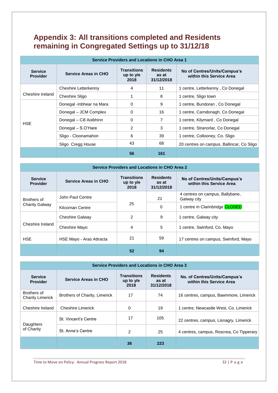## **Appendix 3: All transitions completed and Residents remaining in Congregated Settings up to 31/12/18**

| <b>Service Providers and Locations in CHO Area 1</b> |                             |                                           |                                         |                                                          |  |  |  |  |
|------------------------------------------------------|-----------------------------|-------------------------------------------|-----------------------------------------|----------------------------------------------------------|--|--|--|--|
| <b>Service</b><br><b>Provider</b>                    | <b>Service Areas in CHO</b> | <b>Transitions</b><br>up to $y/e$<br>2018 | <b>Residents</b><br>as at<br>31/12/2018 | No of Centres/Units/Campus's<br>within this Service Area |  |  |  |  |
|                                                      | Cheshire Letterkenny        | 4                                         | 11                                      | 1 centre, Letterkenny, Co Donegal                        |  |  |  |  |
| Cheshire Ireland                                     | Cheshire Sligo              |                                           | 8                                       | 1 centre, Sligo town                                     |  |  |  |  |
|                                                      | Donegal -Inbhear na Mara    | $\Omega$                                  | 9                                       | 1 centre, Bundoran, Co Donegal                           |  |  |  |  |
|                                                      | Donegal - JCM Complex       | 0                                         | 16                                      | 1 centre, Carndonagh, Co Donegal                         |  |  |  |  |
| <b>HSE</b>                                           | Donegal - Cill Aoibhinn     | $\Omega$                                  | 7                                       | 1 centre, Kilymard, Co Donegal                           |  |  |  |  |
|                                                      | Donegal - S.O'Hare          | $\overline{2}$                            | 3                                       | 1 centre, Stranorlar, Co Donegal                         |  |  |  |  |
|                                                      | Sligo - Cloonamahon         | 6                                         | 39                                      | 1 centre, Collooney, Co. Sligo                           |  |  |  |  |
|                                                      | Sligo Cregg House           | 43                                        | 68                                      | 20 centres on campus, Ballincar, Co Sligo                |  |  |  |  |
|                                                      |                             | 56                                        | 161                                     |                                                          |  |  |  |  |

| <b>Service Providers and Locations in CHO Area 2</b> |                             |                                           |                                         |                                                          |  |  |  |  |
|------------------------------------------------------|-----------------------------|-------------------------------------------|-----------------------------------------|----------------------------------------------------------|--|--|--|--|
| <b>Service</b><br><b>Provider</b>                    | <b>Service Areas in CHO</b> | <b>Transitions</b><br>up to $v/e$<br>2018 | <b>Residents</b><br>as at<br>31/12/2018 | No of Centres/Units/Campus's<br>within this Service Area |  |  |  |  |
| Brothers of                                          | John Paul Centre            |                                           | 21                                      | 4 centres on campus, Ballybane,<br>Galway city           |  |  |  |  |
| <b>Charity Galway</b>                                | Kilcornan Centre            | 25                                        | 0                                       | 1 centre in Clarinbridge CLOSED                          |  |  |  |  |
|                                                      | <b>Cheshire Galway</b>      | 2                                         | 9                                       | 1 centre, Galway city                                    |  |  |  |  |
| Cheshire Ireland                                     | Cheshire Mayo               | 4                                         | 5                                       | 1 centre, Swinford, Co. Mayo                             |  |  |  |  |
| <b>HSE</b>                                           | HSE Mayo - Aras Attracta    | 21                                        | 59                                      | 17 centres on campus, Swinford, Mayo                     |  |  |  |  |
|                                                      |                             | 52                                        | 94                                      |                                                          |  |  |  |  |

| <b>Service Providers and Locations in CHO Area 3</b> |                               |                                           |                                         |                                                           |  |  |  |  |
|------------------------------------------------------|-------------------------------|-------------------------------------------|-----------------------------------------|-----------------------------------------------------------|--|--|--|--|
| <b>Service</b><br><b>Provider</b>                    | <b>Service Areas in CHO</b>   | <b>Transitions</b><br>up to $y/e$<br>2018 | <b>Residents</b><br>as at<br>31/12/2018 | No. of Centres/Units/Campus's<br>within this Service Area |  |  |  |  |
| Brothers of<br><b>Charity Limerick</b>               | Brothers of Charity, Limerick | 17                                        | 74                                      | 16 centres, campus, Bawnmore, Limerick                    |  |  |  |  |
| Cheshire Ireland                                     | <b>Cheshire Limerick</b>      | 0                                         | 19                                      | 1 centre, Newcastle West, Co. Limerick                    |  |  |  |  |
|                                                      | St. Vincent's Centre          | 17                                        | 105                                     | 22 centres, campus, Lisnagry, Limerick                    |  |  |  |  |
| Daughters<br>of Charity                              | St. Anne's Centre             | $\mathcal{P}$                             | 25                                      | 4 centres, campus, Roscrea, Co Tipperary                  |  |  |  |  |
|                                                      |                               | 36                                        | 223                                     |                                                           |  |  |  |  |

Time to Move on Policy: Annual Progress Report 2018 32 | P a g e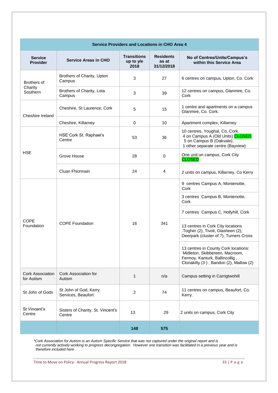| <b>Service Providers and Locations in CHO Area 4</b> |                                             |                                         |                                         |                                                                                                                                                    |  |  |  |
|------------------------------------------------------|---------------------------------------------|-----------------------------------------|-----------------------------------------|----------------------------------------------------------------------------------------------------------------------------------------------------|--|--|--|
| <b>Service</b><br><b>Provider</b>                    | <b>Service Areas in CHO</b>                 | <b>Transitions</b><br>up to y/e<br>2018 | <b>Residents</b><br>as at<br>31/12/2018 | No of Centres/Units/Campus's<br>within this Service Area                                                                                           |  |  |  |
| Brothers of<br>Charity<br>Southern                   | Brothers of Charity, Upton<br>Campus        | 3                                       | 27                                      | 6 centres on campus, Upton, Co. Cork                                                                                                               |  |  |  |
|                                                      | Brothers of Charity, Lota<br>Campus         | 3                                       | 39                                      | 12 centres on campus, Glanmire, Co.<br>Cork                                                                                                        |  |  |  |
| Cheshire Ireland                                     | Cheshire, St Laurence, Cork                 | 5                                       | 15                                      | 1 centre and apartments on a campus<br>Glanmire, Co. Cork.                                                                                         |  |  |  |
|                                                      | Cheshire, Killarney                         | 0                                       | 10                                      | Apartment complex, Killarney                                                                                                                       |  |  |  |
| <b>HSE</b>                                           | HSE Cork St. Raphael's<br>Centre            | 53                                      | 36                                      | 10 centres, Youghal, Co. Cork.<br>4 on Campus A (Old Units) CLOSED<br>5 on Campus B (Oakvale);<br>1 other separate centre (Bayview)                |  |  |  |
|                                                      | Grove House                                 | 28                                      | $\mathbf 0$                             | One unit on campus, Cork City<br><b>CLOSED</b>                                                                                                     |  |  |  |
|                                                      | Cluan Fhionnain                             | 24                                      | 4                                       | 2 units on campus, Killarney, Co Kerry                                                                                                             |  |  |  |
|                                                      | <b>COPE Foundation</b>                      | 16                                      | 341                                     | 9 centres Campus A, Montenotte,<br>Cork                                                                                                            |  |  |  |
|                                                      |                                             |                                         |                                         | 3 centres Campus B, Montenotte,<br>Cork                                                                                                            |  |  |  |
|                                                      |                                             |                                         |                                         | 7 centres Campus C, Hollyhill, Cork                                                                                                                |  |  |  |
| COPE<br>Foundation                                   |                                             |                                         |                                         | 13 centres in Cork City locations<br>:Togher (2), Tivoli, Glasheen (2),<br>Deerpark (cluster of 7), Turners Cross                                  |  |  |  |
|                                                      |                                             |                                         |                                         | 13 centres in County Cork locations:<br>Midleton, Skibbereen, Macroom,<br>Fermoy, Kanturk, Ballincollig,<br>Clonakilty (3), Bandon (2), Mallow (2) |  |  |  |
| Cork Association<br>for Autism                       | Cork Association for<br>Autism              | 1                                       | n/a                                     | Campus setting in Carrigtwohill                                                                                                                    |  |  |  |
| St John of Gods                                      | St John of God, Kerry<br>Services, Beaufort | 2                                       | 74                                      | 11 centres on campus, Beaufort, Co.<br>Kerry.                                                                                                      |  |  |  |
| St Vincent's<br>Centre                               | Sisters of Charity, St. Vincent's<br>Centre | 13                                      | 29                                      | 2 units on campus, Cork City                                                                                                                       |  |  |  |
|                                                      |                                             | 148                                     | 575                                     |                                                                                                                                                    |  |  |  |

*\*Cork Association for Autism is an Autism Specific Service that was not captured under the original report and is not currently actively working to progress decongregation. However one transition was facilitated in a previous year and is therefore included here .*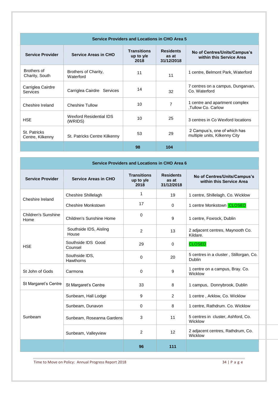| <b>Service Providers and Locations in CHO Area 5</b> |                                    |                                           |                                         |                                                               |  |  |  |
|------------------------------------------------------|------------------------------------|-------------------------------------------|-----------------------------------------|---------------------------------------------------------------|--|--|--|
| <b>Service Provider</b>                              | <b>Service Areas in CHO</b>        | <b>Transitions</b><br>up to $y/e$<br>2018 | <b>Residents</b><br>as at<br>31/12/2018 | No of Centres/Units/Campus's<br>within this Service Area      |  |  |  |
| Brothers of<br>Charity, South                        | Brothers of Charity,<br>Waterford  | 11                                        | 11                                      | 1 centre, Belmont Park, Waterford                             |  |  |  |
| Carriglea Cairdre<br>Services                        | Carriglea Cairdre Services         | 14                                        | 32                                      | 7 centres on a campus, Dungarvan,<br>Co. Waterford            |  |  |  |
| Cheshire Ireland                                     | <b>Cheshire Tullow</b>             | 10                                        | $\overline{7}$                          | 1 centre and apartment complex<br>,Tullow Co. Carlow          |  |  |  |
| <b>HSE</b>                                           | Wexford Residential IDS<br>(WRIDS) | 10 <sup>1</sup>                           | 25                                      | 3 centres in Co Wexford locations                             |  |  |  |
| St. Patricks<br>Centre, Kilkenny                     | St. Patricks Centre Kilkenny       | 53                                        | 29                                      | 2 Campus's, one of which has<br>multiple units, Kilkenny City |  |  |  |
|                                                      |                                    | 98                                        | 104                                     |                                                               |  |  |  |

| <b>Service Providers and Locations in CHO Area 6</b> |                                 |                                         |                                         |                                                          |
|------------------------------------------------------|---------------------------------|-----------------------------------------|-----------------------------------------|----------------------------------------------------------|
| <b>Service Provider</b>                              | <b>Service Areas in CHO</b>     | <b>Transitions</b><br>up to y/e<br>2018 | <b>Residents</b><br>as at<br>31/12/2018 | No of Centres/Units/Campus's<br>within this Service Area |
|                                                      | Cheshire Shillelagh             | $\overline{1}$                          | 19                                      | 1 centre, Shillelagh, Co. Wicklow                        |
| Cheshire Ireland                                     | Cheshire Monkstown              | 17                                      | $\overline{0}$                          | 1 centre Monkstown CLOSED                                |
| <b>Children's Sunshine</b><br>Home                   | Children's Sunshine Home        | $\mathbf 0$                             | 9                                       | 1 centre, Foxrock, Dublin                                |
| <b>HSE</b>                                           | Southside IDS, Aisling<br>House | $\overline{2}$                          | 13                                      | 2 adjacent centres, Maynooth Co.<br>Kildare.             |
|                                                      | Southside IDS Good<br>Counsel   | 29                                      | $\overline{0}$                          | <b>CLOSED</b>                                            |
|                                                      | Southside IDS,<br>Hawthorns     | $\overline{0}$                          | 20                                      | 5 centres in a cluster, Stillorgan, Co.<br>Dublin        |
| St John of Gods                                      | Carmona                         | $\mathbf 0$                             | 9                                       | 1 centre on a campus, Bray. Co.<br>Wicklow               |
| St Margaret's Centre                                 | St Margaret's Centre            | 33                                      | 8                                       | 1 campus, Donnybrook, Dublin                             |
|                                                      | Sunbeam, Hall Lodge             | 9                                       | $\overline{2}$                          | 1 centre, Arklow, Co. Wicklow                            |
| Sunbeam                                              | Sunbeam, Dunavon                | $\mathbf 0$                             | 8                                       | 1 centre, Rathdrum. Co. Wicklow                          |
|                                                      | Sunbeam, Roseanna Gardens       | $\mathbf{3}$                            | 11                                      | 5 centres in cluster, Ashford, Co.<br>Wicklow            |
|                                                      | Sunbeam, Valleyview             | $\overline{2}$                          | 12                                      | 2 adjacent centres, Rathdrum, Co.<br>Wicklow             |
|                                                      |                                 | 96                                      | 111                                     |                                                          |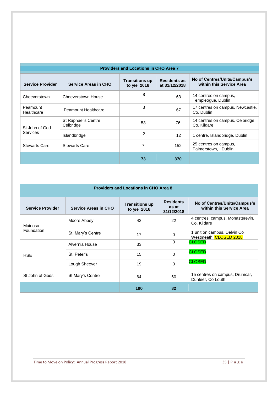| <b>Providers and Locations in CHO Area 7</b> |                                  |                                      |                                      |                                                          |  |  |  |
|----------------------------------------------|----------------------------------|--------------------------------------|--------------------------------------|----------------------------------------------------------|--|--|--|
| <b>Service Provider</b>                      | <b>Service Areas in CHO</b>      | <b>Transitions up</b><br>to y/e 2018 | <b>Residents as</b><br>at 31/12/2018 | No of Centres/Units/Campus's<br>within this Service Area |  |  |  |
| Cheeverstown                                 | Cheeverstown House               | 8                                    | 63                                   | 14 centres on campus,<br>Templeoque, Dublin              |  |  |  |
| Peamount<br>Healthcare                       | Peamount Healthcare              | 3                                    | 67                                   | 17 centres on campus, Newcastle,<br>Co. Dublin           |  |  |  |
| St John of God<br>Services                   | St Raphael's Centre<br>Celbridge | 53                                   | 76                                   | 14 centres on campus, Celbridge,<br>Co. Kildare          |  |  |  |
|                                              | Islandbridge                     | $\overline{2}$                       | $12 \overline{ }$                    | 1 centre, Islandbridge, Dublin                           |  |  |  |
| <b>Stewarts Care</b>                         | <b>Stewarts Care</b>             | 7                                    | 152                                  | 25 centres on campus,<br>Palmerstown, Dublin             |  |  |  |
|                                              |                                  | 73                                   | 370                                  |                                                          |  |  |  |

| <b>Providers and Locations in CHO Area 8</b> |                             |                                      |                                         |                                                          |  |  |
|----------------------------------------------|-----------------------------|--------------------------------------|-----------------------------------------|----------------------------------------------------------|--|--|
| <b>Service Provider</b>                      | <b>Service Areas in CHO</b> | <b>Transitions up</b><br>to y/e 2018 | <b>Residents</b><br>as at<br>31/12/2018 | No of Centres/Units/Campus's<br>within this Service Area |  |  |
| Muiriosa                                     | Moore Abbey                 | 42                                   | 22                                      | 4 centres, campus, Monasterevin,<br>Co. Kildare          |  |  |
| Foundation                                   | St. Mary's Centre           | 17                                   | 0                                       | 1 unit on campus, Delvin Co.<br>Westmeath CLOSED 2018    |  |  |
|                                              | Alvernia House              | 33                                   | 0                                       | <b>CLOSED</b>                                            |  |  |
| <b>HSE</b>                                   | St. Peter's                 | 15                                   | 0                                       | <b>CLOSED</b>                                            |  |  |
|                                              | Lough Sheever               | 19                                   | 0                                       | <b>CLOSED</b>                                            |  |  |
| St John of Gods<br>St Mary's Centre          |                             | 64                                   | 60                                      | 15 centres on campus, Drumcar,<br>Dunleer, Co Louth      |  |  |
|                                              |                             | 190                                  | 82                                      |                                                          |  |  |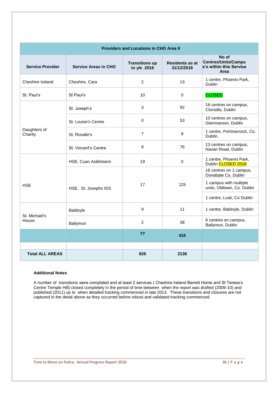| <b>Providers and Locations in CHO Area 9</b> |                             |                                      |                                      |                                                                        |  |  |  |
|----------------------------------------------|-----------------------------|--------------------------------------|--------------------------------------|------------------------------------------------------------------------|--|--|--|
| <b>Service Provider</b>                      | <b>Service Areas in CHO</b> | <b>Transitions up</b><br>to y/e 2018 | <b>Residents as at</b><br>31/12/2018 | No of<br><b>Centres/Units/Campu</b><br>s's within this Service<br>Area |  |  |  |
| Cheshire Ireland                             | Cheshire, Cara              | 2                                    | 13                                   | 1 centre, Phoenix Park,<br>Dublin                                      |  |  |  |
| St. Paul's                                   | St Paul's                   | 10<br>$\Omega$                       |                                      | <b>CLOSED</b>                                                          |  |  |  |
|                                              | St. Joseph's                | 3                                    | 92                                   | 16 centres on campus,<br>Clonsilla, Dublin                             |  |  |  |
|                                              | St. Louise's Centre         | 0                                    | 53                                   | 10 centres on campus,<br>Glenmaroon, Dublin                            |  |  |  |
| Daughters of<br>Charity                      | St. Rosalie's               | $\overline{7}$                       | 8                                    | 1 centre, Portmarnock, Co.<br>Dublin.                                  |  |  |  |
|                                              | St. Vincent's Centre        | 8                                    | 76                                   | 13 centres on campus,<br>Navan Road, Dublin                            |  |  |  |
|                                              | HSE, Cuan Aoibheann         | 19                                   | $\Omega$                             | 1 centre, Phoenix Park,<br>Dublin CLOSED 2018                          |  |  |  |
|                                              |                             | 17                                   | 125                                  | 16 centres on 1 campus,<br>Donabate Co. Dublin                         |  |  |  |
| <b>HSE</b>                                   | HSE, St. Josephs IDS        |                                      |                                      | 1 campus with multiple<br>units, Oldtown, Co. Dublin                   |  |  |  |
|                                              |                             |                                      |                                      | 1 centre, Lusk, Co Dublin                                              |  |  |  |
|                                              | Baldoyle                    | 9                                    | 11                                   | 1 centre, Baldoyle, Dublin                                             |  |  |  |
| St. Michael's<br>House                       | Ballymun                    | 2                                    | 38                                   | 6 centres on campus,<br>Ballymun, Dublin                               |  |  |  |
|                                              |                             | 77                                   | 416                                  |                                                                        |  |  |  |
|                                              |                             |                                      |                                      |                                                                        |  |  |  |
| <b>Total ALL AREAS</b>                       |                             | 826                                  | 2136                                 |                                                                        |  |  |  |

#### **Additional Notes**

A number of transitions were completed and at least 2 services ( Cheshire Ireland Barrett Home and St Teresa's Centre Temple Hill) closed completely in the period of time between when the report was drafted (2009-10) and published (2011) up to when detailed tracking commenced in late 2013. These transitions and closures are not captured in the detail above as they occurred before robust and validated tracking commenced.